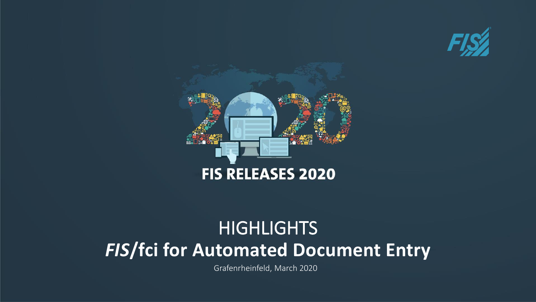



# *FIS***/fci for Automated Document Entry HIGHLIGHTS**

Grafenrheinfeld, March 2020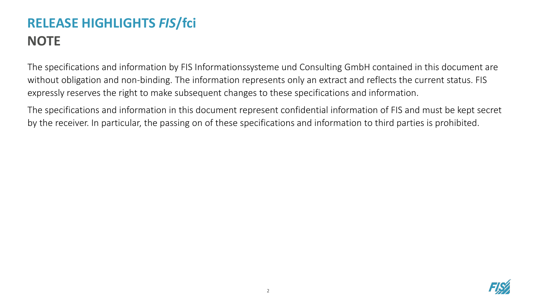## **RELEASE HIGHLIGHTS** *FIS***/fci NOTE**

The specifications and information by FIS Informationssysteme und Consulting GmbH contained in this document are without obligation and non-binding. The information represents only an extract and reflects the current status. FIS expressly reserves the right to make subsequent changes to these specifications and information.

The specifications and information in this document represent confidential information of FIS and must be kept secret by the receiver. In particular, the passing on of these specifications and information to third parties is prohibited.

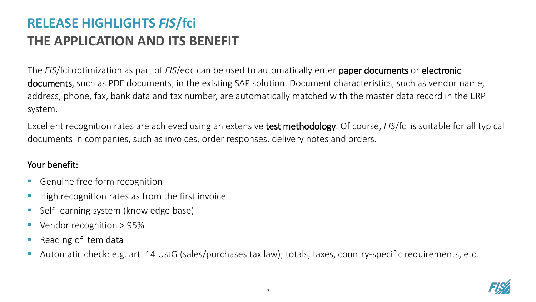### **RELEASE HIGHLIGHTS** *FIS***/fci THE APPLICATION AND ITS BENEFIT**

The *FIS*/fci optimization as part of *FIS*/edc can be used to automatically enter paper documents or electronic documents, such as PDF documents, in the existing SAP solution. Document characteristics, such as vendor name, address, phone, fax, bank data and tax number, are automatically matched with the master data record in the ERP system.

Excellent recognition rates are achieved using an extensive test methodology. Of course, *FIS*/fci is suitable for all typical documents in companies, such as invoices, order responses, delivery notes and orders.

#### Your benefit:

- Genuine free form recognition
- High recognition rates as from the first invoice
- Self-learning system (knowledge base)
- Vendor recognition > 95%
- Reading of item data
- Automatic check: e.g. art. 14 UstG (sales/purchases tax law); totals, taxes, country-specific requirements, etc.

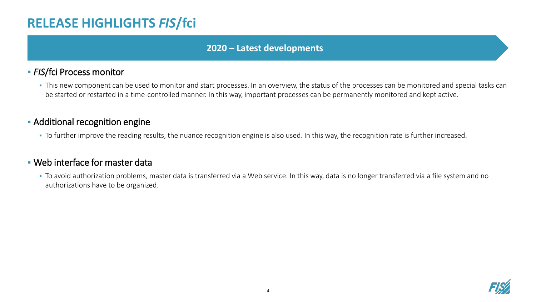### **RELEASE HIGHLIGHTS** *FIS***/fci**

#### **2020 – Latest developments**

#### ▪ *FIS*/fci Process monitor

**.** This new component can be used to monitor and start processes. In an overview, the status of the processes can be monitored and special tasks can be started or restarted in a time-controlled manner. In this way, important processes can be permanently monitored and kept active.

#### **- Additional recognition engine**

▪ To further improve the reading results, the nuance recognition engine is also used. In this way, the recognition rate is further increased.

#### ▪ Web interface for master data

• To avoid authorization problems, master data is transferred via a Web service. In this way, data is no longer transferred via a file system and no authorizations have to be organized.